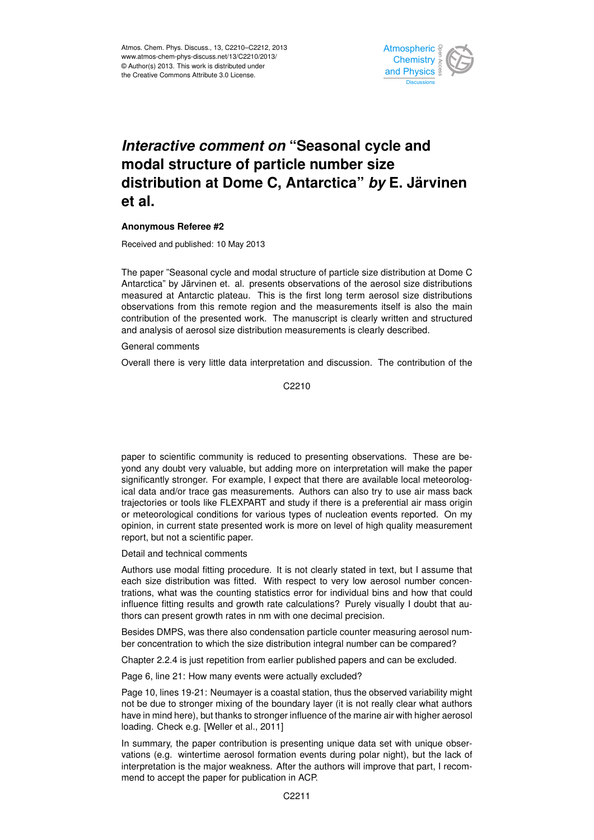

## *Interactive comment on "Seasonal cycle and* .<br>م Climate  $\overline{\phantom{a}}$ Open Access Climate **distribution at Dome C, Antarctica"** *by* **E. Järvinen modal structure of particle number size et al.**

## **Anonymous Referee #2**

Received and published: 10 May 2013

Antarctica" by Järvinen et. al. presents observations of the aerosol size distributions i. ui. probonto<br>oteen Thie is zau. This is observations from this remote region and the measurements itself is also the main O<br>Tu orooo: OLO GIO;<br>Installation diat measured at Antarctic plateau. This is the first long term aerosol size distributions ri<br>ri<br>h contribution of the presented work. The manuscript is clearly written and structured n<br>. and analysis of aerosol size distribution measurements is clearly described. The paper "Seasonal cycle and modal structure of particle size distribution at Dome C

General comments

Overall there is very little data interpretation and discussion. The contribution of the

Hydrology and Earth System  $\mathcal{C}$ C2210

significantly stronger. For example, I expect that there are available local meteorologg<br>s าเ<br>ie<br>วะ ical data and/or trace gas measurements. Authors can also try to use air mass back opinion, in current state presented work is more on level of high quality measurement U<br>İs .<br>;<br> paper to scientific community is reduced to presenting observations. These are beyond any doubt very valuable, but adding more on interpretation will make the paper trajectories or tools like FLEXPART and study if there is a preferential air mass origin or meteorological conditions for various types of nucleation events reported. On my report, but not a scientific paper.

Detail and technical comments

Authors use modal fitting procedure. It is not clearly stated in text, but I assume that each size distribution was fitted. With respect to very low aerosol number concentrations, what was the counting statistics error for individual bins and how that could influence fitting results and growth rate calculations? Purely visually I doubt that authors can present growth rates in nm with one decimal precision.

Besides DMPS, was there also condensation particle counter measuring aerosol number concentration to which the size distribution integral number can be compared?

Chapter 2.2.4 is just repetition from earlier published papers and can be excluded.

Page 6, line 21: How many events were actually excluded?

Page 10, lines 19-21: Neumayer is a coastal station, thus the observed variability might not be due to stronger mixing of the boundary layer (it is not really clear what authors have in mind here), but thanks to stronger influence of the marine air with higher aerosol loading. Check e.g. [Weller et al., 2011]

In summary, the paper contribution is presenting unique data set with unique observations (e.g. wintertime aerosol formation events during polar night), but the lack of interpretation is the major weakness. After the authors will improve that part, I recommend to accept the paper for publication in ACP.